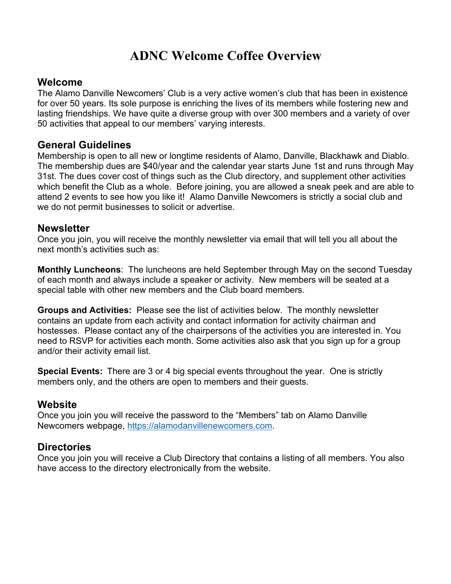## **ADNC Welcome Coffee Overview**

## **Welcome**

The Alamo Danville Newcomers' Club is a very active women's club that has been in existence for over 50 years. Its sole purpose is enriching the lives of its members while fostering new and lasting friendships. We have quite a diverse group with over 300 members and a variety of over 50 activities that appeal to our members' varying interests.

## **General Guidelines**

Membership is open to all new or longtime residents of Alamo, Danville, Blackhawk and Diablo. The membership dues are \$40/year and the calendar year starts June 1st and runs through May 31st. The dues cover cost of things such as the Club directory, and supplement other activities which benefit the Club as a whole. Before joining, you are allowed a sneak peek and are able to attend 2 events to see how you like it! Alamo Danville Newcomers is strictly a social club and we do not permit businesses to solicit or advertise.

#### **Newsletter**

Once you join, you will receive the monthly newsletter via email that will tell you all about the next month's activities such as:

**Monthly Luncheons**: The luncheons are held September through May on the second Tuesday of each month and always include a speaker or activity. New members will be seated at a special table with other new members and the Club board members.

**Groups and Activities:** Please see the list of activities below. The monthly newsletter contains an update from each activity and contact information for activity chairman and hostesses. Please contact any of the chairpersons of the activities you are interested in. You need to RSVP for activities each month. Some activities also ask that you sign up for a group and/or their activity email list.

**Special Events:** There are 3 or 4 big special events throughout the year. One is strictly members only, and the others are open to members and their guests.

## **Website**

Once you join you will receive the password to the "Members" tab on Alamo Danville Newcomers webpage, https://alamodanvillenewcomers.com.

## **Directories**

Once you join you will receive a Club Directory that contains a listing of all members. You also have access to the directory electronically from the website.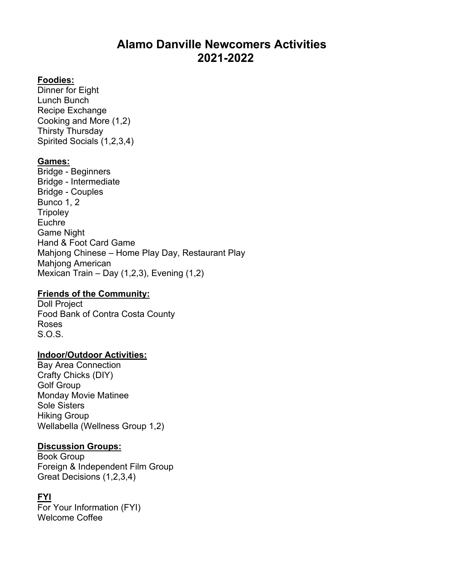## **Alamo Danville Newcomers Activities 2021-2022**

#### **Foodies:**

Dinner for Eight Lunch Bunch Recipe Exchange Cooking and More (1,2) Thirsty Thursday Spirited Socials (1,2,3,4)

#### **Games:**

Bridge - Beginners Bridge - Intermediate Bridge - Couples Bunco 1, 2 **Tripoley** Euchre Game Night Hand & Foot Card Game Mahjong Chinese – Home Play Day, Restaurant Play Mahjong American Mexican Train – Day (1,2,3), Evening (1,2)

### **Friends of the Community:**

Doll Project Food Bank of Contra Costa County Roses S.O.S.

#### **Indoor/Outdoor Activities:**

Bay Area Connection Crafty Chicks (DIY) Golf Group Monday Movie Matinee Sole Sisters Hiking Group Wellabella (Wellness Group 1,2)

#### **Discussion Groups:**

Book Group Foreign & Independent Film Group Great Decisions (1,2,3,4)

#### **FYI**

For Your Information (FYI) Welcome Coffee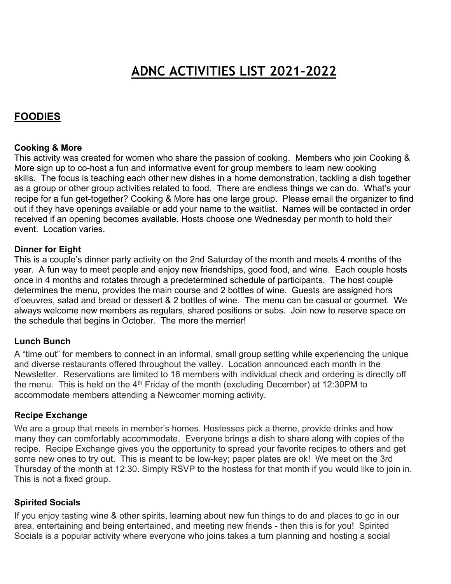# **ADNC ACTIVITIES LIST 2021-2022**

## **FOODIES**

#### **Cooking & More**

This activity was created for women who share the passion of cooking. Members who join Cooking & More sign up to co-host a fun and informative event for group members to learn new cooking skills. The focus is teaching each other new dishes in a home demonstration, tackling a dish together as a group or other group activities related to food. There are endless things we can do. What's your recipe for a fun get-together? Cooking & More has one large group. Please email the organizer to find out if they have openings available or add your name to the waitlist. Names will be contacted in order received if an opening becomes available. Hosts choose one Wednesday per month to hold their event. Location varies.

#### **Dinner for Eight**

This is a couple's dinner party activity on the 2nd Saturday of the month and meets 4 months of the year. A fun way to meet people and enjoy new friendships, good food, and wine. Each couple hosts once in 4 months and rotates through a predetermined schedule of participants. The host couple determines the menu, provides the main course and 2 bottles of wine. Guests are assigned hors d'oeuvres, salad and bread or dessert & 2 bottles of wine. The menu can be casual or gourmet. We always welcome new members as regulars, shared positions or subs. Join now to reserve space on the schedule that begins in October. The more the merrier!

#### **Lunch Bunch**

A "time out" for members to connect in an informal, small group setting while experiencing the unique and diverse restaurants offered throughout the valley. Location announced each month in the Newsletter. Reservations are limited to 16 members with individual check and ordering is directly off the menu. This is held on the  $4<sup>th</sup>$  Friday of the month (excluding December) at 12:30PM to accommodate members attending a Newcomer morning activity.

#### **Recipe Exchange**

We are a group that meets in member's homes. Hostesses pick a theme, provide drinks and how many they can comfortably accommodate. Everyone brings a dish to share along with copies of the recipe. Recipe Exchange gives you the opportunity to spread your favorite recipes to others and get some new ones to try out. This is meant to be low-key; paper plates are ok! We meet on the 3rd Thursday of the month at 12:30. Simply RSVP to the hostess for that month if you would like to join in. This is not a fixed group.

#### **Spirited Socials**

If you enjoy tasting wine & other spirits, learning about new fun things to do and places to go in our area, entertaining and being entertained, and meeting new friends - then this is for you! Spirited Socials is a popular activity where everyone who joins takes a turn planning and hosting a social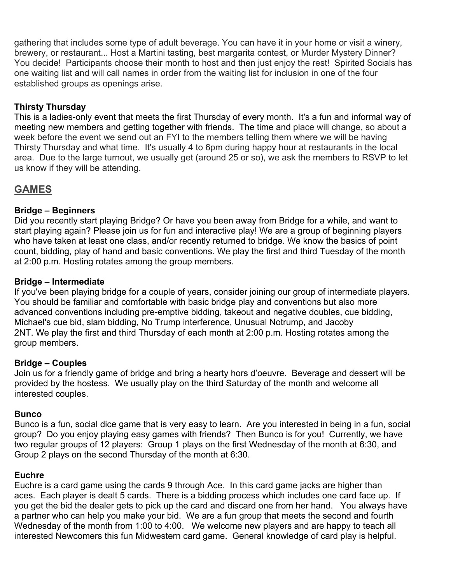gathering that includes some type of adult beverage. You can have it in your home or visit a winery, brewery, or restaurant... Host a Martini tasting, best margarita contest, or Murder Mystery Dinner? You decide! Participants choose their month to host and then just enjoy the rest! Spirited Socials has one waiting list and will call names in order from the waiting list for inclusion in one of the four established groups as openings arise.

#### **Thirsty Thursday**

This is a ladies-only event that meets the first Thursday of every month. It's a fun and informal way of meeting new members and getting together with friends. The time and place will change, so about a week before the event we send out an FYI to the members telling them where we will be having Thirsty Thursday and what time. It's usually 4 to 6pm during happy hour at restaurants in the local area. Due to the large turnout, we usually get (around 25 or so), we ask the members to RSVP to let us know if they will be attending.

## **GAMES**

#### **Bridge – Beginners**

Did you recently start playing Bridge? Or have you been away from Bridge for a while, and want to start playing again? Please join us for fun and interactive play! We are a group of beginning players who have taken at least one class, and/or recently returned to bridge. We know the basics of point count, bidding, play of hand and basic conventions. We play the first and third Tuesday of the month at 2:00 p.m. Hosting rotates among the group members.

#### **Bridge – Intermediate**

If you've been playing bridge for a couple of years, consider joining our group of intermediate players. You should be familiar and comfortable with basic bridge play and conventions but also more advanced conventions including pre-emptive bidding, takeout and negative doubles, cue bidding, Michael's cue bid, slam bidding, No Trump interference, Unusual Notrump, and Jacoby 2NT. We play the first and third Thursday of each month at 2:00 p.m. Hosting rotates among the group members.

#### **Bridge – Couples**

Join us for a friendly game of bridge and bring a hearty hors d'oeuvre. Beverage and dessert will be provided by the hostess. We usually play on the third Saturday of the month and welcome all interested couples.

#### **Bunco**

Bunco is a fun, social dice game that is very easy to learn. Are you interested in being in a fun, social group? Do you enjoy playing easy games with friends? Then Bunco is for you! Currently, we have two regular groups of 12 players: Group 1 plays on the first Wednesday of the month at 6:30, and Group 2 plays on the second Thursday of the month at 6:30.

#### **Euchre**

Euchre is a card game using the cards 9 through Ace. In this card game jacks are higher than aces. Each player is dealt 5 cards. There is a bidding process which includes one card face up. If you get the bid the dealer gets to pick up the card and discard one from her hand. You always have a partner who can help you make your bid. We are a fun group that meets the second and fourth Wednesday of the month from 1:00 to 4:00. We welcome new players and are happy to teach all interested Newcomers this fun Midwestern card game. General knowledge of card play is helpful.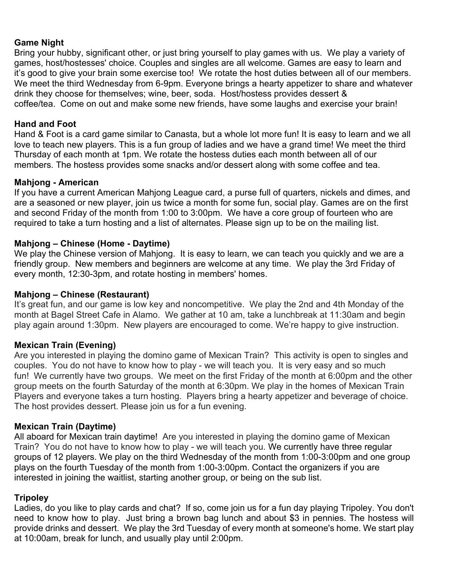#### **Game Night**

Bring your hubby, significant other, or just bring yourself to play games with us. We play a variety of games, host/hostesses' choice. Couples and singles are all welcome. Games are easy to learn and it's good to give your brain some exercise too! We rotate the host duties between all of our members. We meet the third Wednesday from 6-9pm. Everyone brings a hearty appetizer to share and whatever drink they choose for themselves; wine, beer, soda. Host/hostess provides dessert & coffee/tea. Come on out and make some new friends, have some laughs and exercise your brain!

#### **Hand and Foot**

Hand & Foot is a card game similar to Canasta, but a whole lot more fun! It is easy to learn and we all love to teach new players. This is a fun group of ladies and we have a grand time! We meet the third Thursday of each month at 1pm. We rotate the hostess duties each month between all of our members. The hostess provides some snacks and/or dessert along with some coffee and tea.

#### **Mahjong - American**

If you have a current American Mahjong League card, a purse full of quarters, nickels and dimes, and are a seasoned or new player, join us twice a month for some fun, social play. Games are on the first and second Friday of the month from 1:00 to 3:00pm. We have a core group of fourteen who are required to take a turn hosting and a list of alternates. Please sign up to be on the mailing list.

#### **Mahjong – Chinese (Home - Daytime)**

We play the Chinese version of Mahjong. It is easy to learn, we can teach you quickly and we are a friendly group. New members and beginners are welcome at any time. We play the 3rd Friday of every month, 12:30-3pm, and rotate hosting in members' homes.

#### **Mahjong – Chinese (Restaurant)**

It's great fun, and our game is low key and noncompetitive. We play the 2nd and 4th Monday of the month at Bagel Street Cafe in Alamo. We gather at 10 am, take a lunchbreak at 11:30am and begin play again around 1:30pm. New players are encouraged to come. We're happy to give instruction.

#### **Mexican Train (Evening)**

Are you interested in playing the domino game of Mexican Train? This activity is open to singles and couples. You do not have to know how to play - we will teach you. It is very easy and so much fun! We currently have two groups. We meet on the first Friday of the month at 6:00pm and the other group meets on the fourth Saturday of the month at 6:30pm. We play in the homes of Mexican Train Players and everyone takes a turn hosting. Players bring a hearty appetizer and beverage of choice. The host provides dessert. Please join us for a fun evening.

#### **Mexican Train (Daytime)**

All aboard for Mexican train daytime! Are you interested in playing the domino game of Mexican Train? You do not have to know how to play - we will teach you. We currently have three regular groups of 12 players. We play on the third Wednesday of the month from 1:00-3:00pm and one group plays on the fourth Tuesday of the month from 1:00-3:00pm. Contact the organizers if you are interested in joining the waitlist, starting another group, or being on the sub list.

#### **Tripoley**

Ladies, do you like to play cards and chat? If so, come join us for a fun day playing Tripoley. You don't need to know how to play. Just bring a brown bag lunch and about \$3 in pennies. The hostess will provide drinks and dessert. We play the 3rd Tuesday of every month at someone's home. We start play at 10:00am, break for lunch, and usually play until 2:00pm.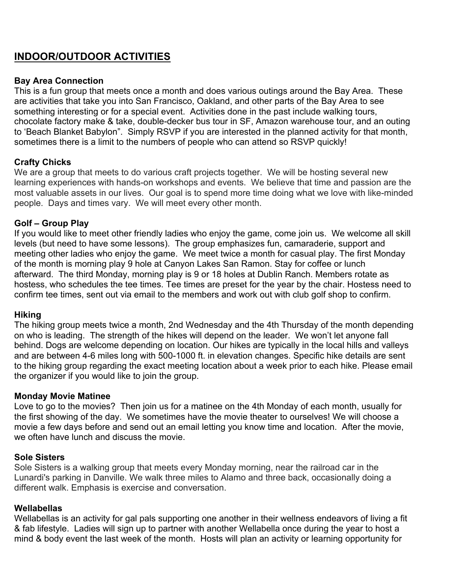## **INDOOR/OUTDOOR ACTIVITIES**

#### **Bay Area Connection**

This is a fun group that meets once a month and does various outings around the Bay Area. These are activities that take you into San Francisco, Oakland, and other parts of the Bay Area to see something interesting or for a special event. Activities done in the past include walking tours, chocolate factory make & take, double-decker bus tour in SF, Amazon warehouse tour, and an outing to 'Beach Blanket Babylon". Simply RSVP if you are interested in the planned activity for that month, sometimes there is a limit to the numbers of people who can attend so RSVP quickly!

#### **Crafty Chicks**

We are a group that meets to do various craft projects together. We will be hosting several new learning experiences with hands-on workshops and events. We believe that time and passion are the most valuable assets in our lives. Our goal is to spend more time doing what we love with like-minded people. Days and times vary. We will meet every other month.

#### **Golf – Group Play**

If you would like to meet other friendly ladies who enjoy the game, come join us. We welcome all skill levels (but need to have some lessons). The group emphasizes fun, camaraderie, support and meeting other ladies who enjoy the game. We meet twice a month for casual play. The first Monday of the month is morning play 9 hole at Canyon Lakes San Ramon. Stay for coffee or lunch afterward. The third Monday, morning play is 9 or 18 holes at Dublin Ranch. Members rotate as hostess, who schedules the tee times. Tee times are preset for the year by the chair. Hostess need to confirm tee times, sent out via email to the members and work out with club golf shop to confirm.

#### **Hiking**

The hiking group meets twice a month, 2nd Wednesday and the 4th Thursday of the month depending on who is leading. The strength of the hikes will depend on the leader. We won't let anyone fall behind. Dogs are welcome depending on location. Our hikes are typically in the local hills and valleys and are between 4-6 miles long with 500-1000 ft. in elevation changes. Specific hike details are sent to the hiking group regarding the exact meeting location about a week prior to each hike. Please email the organizer if you would like to join the group.

#### **Monday Movie Matinee**

Love to go to the movies? Then join us for a matinee on the 4th Monday of each month, usually for the first showing of the day. We sometimes have the movie theater to ourselves! We will choose a movie a few days before and send out an email letting you know time and location. After the movie, we often have lunch and discuss the movie.

#### **Sole Sisters**

Sole Sisters is a walking group that meets every Monday morning, near the railroad car in the Lunardi's parking in Danville. We walk three miles to Alamo and three back, occasionally doing a different walk. Emphasis is exercise and conversation.

#### **Wellabellas**

Wellabellas is an activity for gal pals supporting one another in their wellness endeavors of living a fit & fab lifestyle. Ladies will sign up to partner with another Wellabella once during the year to host a mind & body event the last week of the month. Hosts will plan an activity or learning opportunity for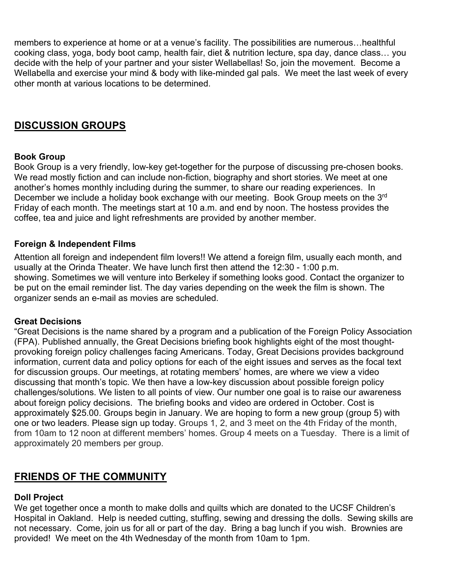members to experience at home or at a venue's facility. The possibilities are numerous…healthful cooking class, yoga, body boot camp, health fair, diet & nutrition lecture, spa day, dance class… you decide with the help of your partner and your sister Wellabellas! So, join the movement. Become a Wellabella and exercise your mind & body with like-minded gal pals. We meet the last week of every other month at various locations to be determined.

## **DISCUSSION GROUPS**

#### **Book Group**

Book Group is a very friendly, low-key get-together for the purpose of discussing pre-chosen books. We read mostly fiction and can include non-fiction, biography and short stories. We meet at one another's homes monthly including during the summer, to share our reading experiences. In December we include a holiday book exchange with our meeting. Book Group meets on the 3<sup>rd</sup> Friday of each month. The meetings start at 10 a.m. and end by noon. The hostess provides the coffee, tea and juice and light refreshments are provided by another member.

#### **Foreign & Independent Films**

Attention all foreign and independent film lovers!! We attend a foreign film, usually each month, and usually at the Orinda Theater. We have lunch first then attend the 12:30 - 1:00 p.m. showing. Sometimes we will venture into Berkeley if something looks good. Contact the organizer to be put on the email reminder list. The day varies depending on the week the film is shown. The organizer sends an e-mail as movies are scheduled.

#### **Great Decisions**

"Great Decisions is the name shared by a program and a publication of the Foreign Policy Association (FPA). Published annually, the Great Decisions briefing book highlights eight of the most thoughtprovoking foreign policy challenges facing Americans. Today, Great Decisions provides background information, current data and policy options for each of the eight issues and serves as the focal text for discussion groups. Our meetings, at rotating members' homes, are where we view a video discussing that month's topic. We then have a low-key discussion about possible foreign policy challenges/solutions. We listen to all points of view. Our number one goal is to raise our awareness about foreign policy decisions. The briefing books and video are ordered in October. Cost is approximately \$25.00. Groups begin in January. We are hoping to form a new group (group 5) with one or two leaders. Please sign up today. Groups 1, 2, and 3 meet on the 4th Friday of the month, from 10am to 12 noon at different members' homes. Group 4 meets on a Tuesday. There is a limit of approximately 20 members per group.

## **FRIENDS OF THE COMMUNITY**

#### **Doll Project**

We get together once a month to make dolls and quilts which are donated to the UCSF Children's Hospital in Oakland. Help is needed cutting, stuffing, sewing and dressing the dolls. Sewing skills are not necessary. Come, join us for all or part of the day. Bring a bag lunch if you wish. Brownies are provided! We meet on the 4th Wednesday of the month from 10am to 1pm.